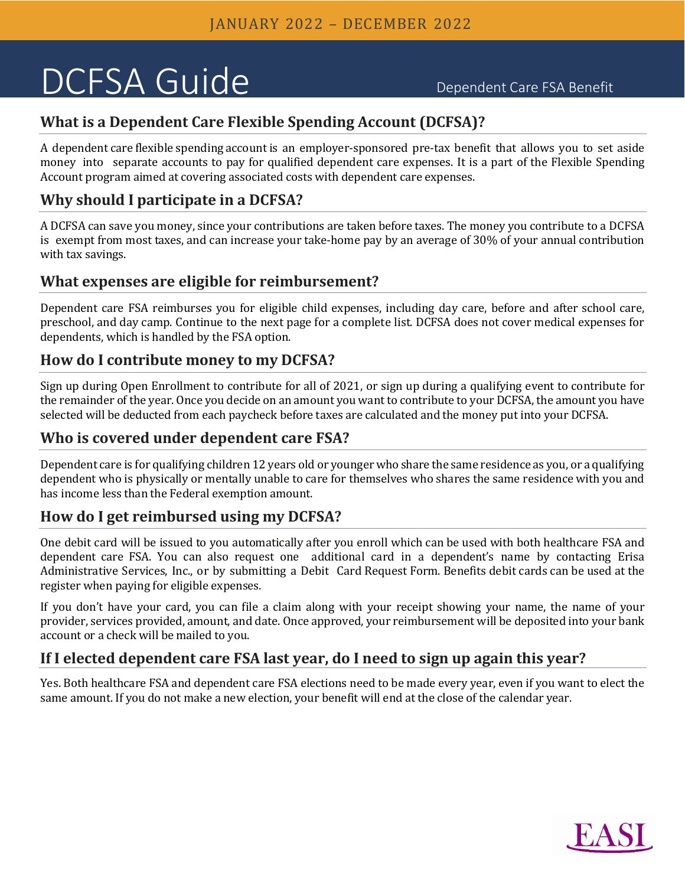# DCFSA Guide Dependent Care FSA Benefit

# **What is a Dependent Care Flexible Spending Account (DCFSA)?**

A dependent care flexible spending account is an employer-sponsored pre-tax benefit that allows you to set aside money into separate accounts to pay for qualified dependent care expenses. It is a part of the Flexible Spending Account program aimed at covering associated costs with dependent care expenses.

# **Why should I participate in a DCFSA?**

A DCFSA can save you money, since your contributions are taken before taxes. The money you contribute to a DCFSA is exempt from most taxes, and can increase your take-home pay by an average of 30% of your annual contribution with tax savings.

# **What expenses are eligible for reimbursement?**

Dependent care FSA reimburses you for eligible child expenses, including day care, before and after school care, preschool, and day camp. Continue to the next page for a complete list. DCFSA does not cover medical expenses for dependents, which is handled by the FSA option.

# **How do I contribute money to my DCFSA?**

Sign up during Open Enrollment to contribute for all of 2021, or sign up during a qualifying event to contribute for the remainder of the year. Once you decide on an amount you want to contribute to your DCFSA, the amount you have selected will be deducted from each paycheck before taxes are calculated and the money put into your DCFSA.

#### **Who is covered under dependent care FSA?**

Dependent care is for qualifying children 12 years old or younger who share the same residence as you, or a qualifying dependent who is physically or mentally unable to care for themselves who shares the same residence with you and has income less than the Federal exemption amount.

# **How do I get reimbursed using my DCFSA?**

One debit card will be issued to you automatically after you enroll which can be used with both healthcare FSA and dependent care FSA. You can also request one additional card in a dependent's name by contacting Erisa Administrative Services, Inc., or by submitting a Debit Card Request Form. Benefits debit cards can be used at the register when paying for eligible expenses.

If you don't have your card, you can file a claim along with your receipt showing your name, the name of your provider, services provided, amount, and date. Once approved, your reimbursement will be deposited into your bank account or a check will be mailed to you.

# **If I elected dependent care FSA last year, do I need to sign up again this year?**

Yes. Both healthcare FSA and dependent care FSA elections need to be made every year, even if you want to elect the same amount. If you do not make a new election, your benefit will end at the close of the calendar year.

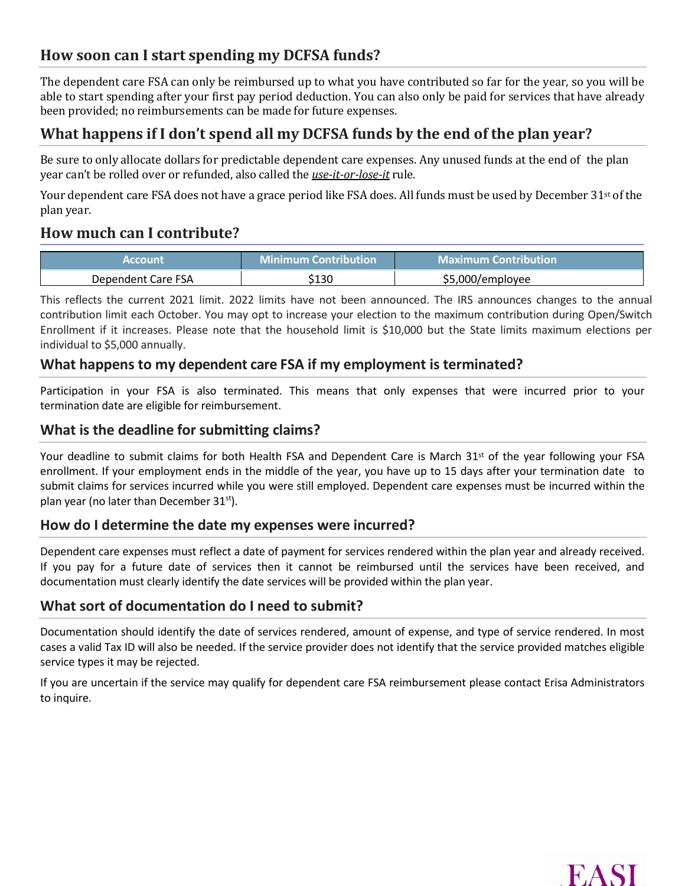# **How soon can I start spending my DCFSA funds?**

The dependent care FSA can only be reimbursed up to what you have contributed so far for the year, so you will be able to start spending after your first pay period deduction. You can also only be paid for services that have already been provided; no reimbursements can be made for future expenses.

# **What happens if I don't spend all my DCFSA funds by the end of the plan year?**

Be sure to only allocate dollars for predictable dependent care expenses. Any unused funds at the end of the plan year can't be rolled over or refunded, also called the *use-it-or-lose-it* rule.

Your dependent care FSA does not have a grace period like FSA does. All funds must be used by December 31<sup>st</sup> of the plan year.

# **How much can I contribute?**

| <b>Account</b>     | <b>Minimum Contribution</b> | <b>Maximum Contribution</b> |
|--------------------|-----------------------------|-----------------------------|
| Dependent Care FSA | 130ء                        | \$5.000/employee            |

This reflects the current 2021 limit. 2022 limits have not been announced. The IRS announces changes to the annual contribution limit each October. You may opt to increase your election to the maximum contribution during Open/Switch Enrollment if it increases. Please note that the household limit is \$10,000 but the State limits maximum elections per individual to \$5,000 annually.

#### **What happens to my dependent care FSA if my employment is terminated?**

Participation in your FSA is also terminated. This means that only expenses that were incurred prior to your termination date are eligible for reimbursement.

#### **What is the deadline for submitting claims?**

Your deadline to submit claims for both Health FSA and Dependent Care is March 31<sup>st</sup> of the year following your FSA enrollment. If your employment ends in the middle of the year, you have up to 15 days after your termination date to submit claims for services incurred while you were still employed. Dependent care expenses must be incurred within the plan year (no later than December  $31<sup>st</sup>$ ).

#### **How do I determine the date my expenses were incurred?**

Dependent care expenses must reflect a date of payment for services rendered within the plan year and already received. If you pay for a future date of services then it cannot be reimbursed until the services have been received, and documentation must clearly identify the date services will be provided within the plan year.

#### **What sort of documentation do I need to submit?**

Documentation should identify the date of services rendered, amount of expense, and type of service rendered. In most cases a valid Tax ID will also be needed. If the service provider does not identify that the service provided matches eligible service types it may be rejected.

If you are uncertain if the service may qualify for dependent care FSA reimbursement please contact Erisa Administrators to inquire.